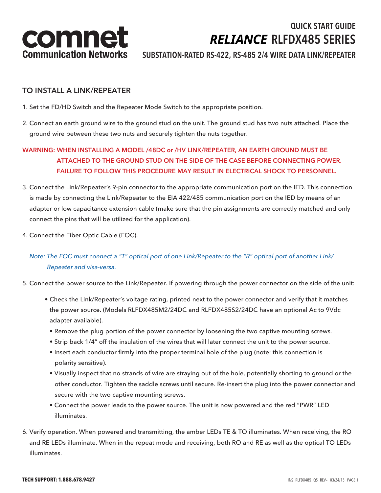

# **RELIANCE RLFDX485 SERIES** QUICK START GUIDE

SUBSTATION-RATED RS-422, RS-485 2/4 WIRE DATA LINK/REPEATER

#### TO INSTALL A LINK/REPEATER

- 1. Set the FD/HD Switch and the Repeater Mode Switch to the appropriate position.
- 2. Connect an earth ground wire to the ground stud on the unit. The ground stud has two nuts attached. Place the ground wire between these two nuts and securely tighten the nuts together.

# WARNING: WHEN INSTALLING A MODEL /48DC or /HV LINK/REPEATER, AN EARTH GROUND MUST BE ATTACHED TO THE GROUND STUD ON THE SIDE OF THE CASE BEFORE CONNECTING POWER. FAILURE TO FOLLOW THIS PROCEDURE MAY RESULT IN ELECTRICAL SHOCK TO PERSONNEL.

- 3. Connect the Link/Repeater's 9-pin connector to the appropriate communication port on the IED. This connection is made by connecting the Link/Repeater to the EIA 422/485 communication port on the IED by means of an adapter or low capacitance extension cable (make sure that the pin assignments are correctly matched and only connect the pins that will be utilized for the application).
- 4. Connect the Fiber Optic Cable (FOC).

## Note: The FOC must connect a "T" optical port of one Link/Repeater to the "R" optical port of another Link/ Repeater and visa-versa.

- 5. Connect the power source to the Link/Repeater. If powering through the power connector on the side of the unit:
	- Check the Link/Repeater's voltage rating, printed next to the power connector and verify that it matches the power source. (Models RLFDX485M2/24DC and RLFDX485S2/24DC have an optional Ac to 9Vdc adapter available).
		- Remove the plug portion of the power connector by loosening the two captive mounting screws.
		- Strip back 1/4" off the insulation of the wires that will later connect the unit to the power source.
		- Insert each conductor firmly into the proper terminal hole of the plug (note: this connection is polarity sensitive).
		- Visually inspect that no strands of wire are straying out of the hole, potentially shorting to ground or the other conductor. Tighten the saddle screws until secure. Re-insert the plug into the power connector and secure with the two captive mounting screws.
		- Connect the power leads to the power source. The unit is now powered and the red "PWR" LED illuminates.
- 6. Verify operation. When powered and transmitting, the amber LEDs TE & TO illuminates. When receiving, the RO and RE LEDs illuminate. When in the repeat mode and receiving, both RO and RE as well as the optical TO LEDs illuminates.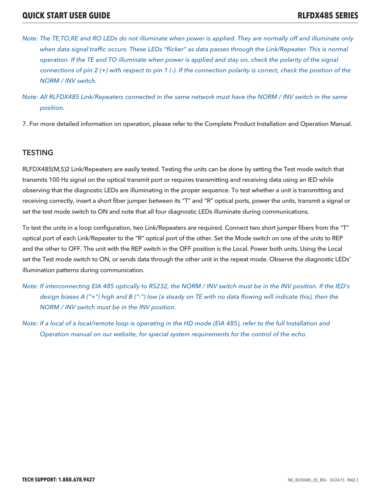- Note: The TE,TO,RE and RO LEDs do not illuminate when power is applied. They are normally off and illuminate only when data signal traffic occurs. These LEDs "flicker" as data passes through the Link/Repeater. This is normal operation. If the TE and TO illuminate when power is applied and stay on, check the polarity of the signal connections of pin 2  $(+)$  with respect to pin 1  $(-)$ . If the connection polarity is correct, check the position of the NORM / INV switch.
- Note: All RLFDX485 Link/Repeaters connected in the same network must have the NORM / INV switch in the same position.
- 7. For more detailed information on operation, please refer to the Complete Product Installation and Operation Manual.

#### **TESTING**

RLFDX485(M,S)2 Link/Repeaters are easily tested. Testing the units can be done by setting the Test mode switch that transmits 100 Hz signal on the optical transmit port or requires transmitting and receiving data using an IED while observing that the diagnostic LEDs are illuminating in the proper sequence. To test whether a unit is transmitting and receiving correctly, insert a short fiber jumper between its "T" and "R" optical ports, power the units, transmit a signal or set the test mode switch to ON and note that all four diagnostic LEDs illuminate during communications.

To test the units in a loop configuration, two Link/Repeaters are required. Connect two short jumper fibers from the "T" optical port of each Link/Repeater to the "R" optical port of the other. Set the Mode switch on one of the units to REP and the other to OFF. The unit with the REP switch in the OFF position is the Local. Power both units. Using the Local set the Test mode switch to ON, or sends data through the other unit in the repeat mode. Observe the diagnostic LEDs' illumination patterns during communication.

- Note: If interconnecting EIA 485 optically to RS232, the NORM / INV switch must be in the INV position. If the IED's design biases A ("+") high and B ("-") low (a steady on TE with no data flowing will indicate this), then the NORM / INV switch must be in the INV position.
- Note: If a local of a local/remote loop is operating in the HD mode (EIA 485), refer to the full Installation and Operation manual on our website, for special system requirements for the control of the echo.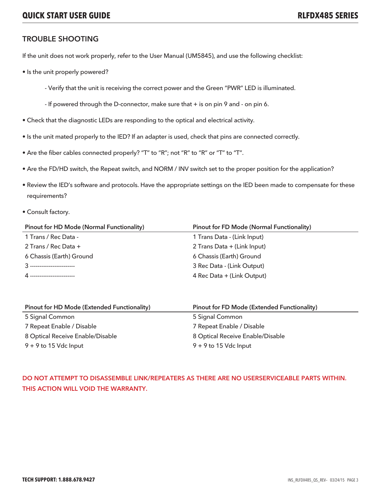#### TROUBLE SHOOTING

If the unit does not work properly, refer to the User Manual (UM5845), and use the following checklist:

- Is the unit properly powered?
	- Verify that the unit is receiving the correct power and the Green "PWR" LED is illuminated.
	- If powered through the D-connector, make sure that + is on pin 9 and on pin 6.
- Check that the diagnostic LEDs are responding to the optical and electrical activity.
- Is the unit mated properly to the IED? If an adapter is used, check that pins are connected correctly.
- Are the fiber cables connected properly? "T" to "R"; not "R" to "R" or "T" to "T".
- Are the FD/HD switch, the Repeat switch, and NORM / INV switch set to the proper position for the application?
- Review the IED's software and protocols. Have the appropriate settings on the IED been made to compensate for these requirements?
- Consult factory.

| <b>Pinout for HD Mode (Normal Functionality)</b> | <b>Pinout for FD Mode (Normal Functionality)</b> |
|--------------------------------------------------|--------------------------------------------------|
| 1 Trans / Rec Data -                             | 1 Trans Data - (Link Input)                      |
| 2 Trans / Rec Data +                             | 2 Trans Data + (Link Input)                      |
| 6 Chassis (Earth) Ground                         | 6 Chassis (Earth) Ground                         |
| 3 --------------------------                     | 3 Rec Data - (Link Output)                       |
| 4 --------------------------                     | 4 Rec Data + (Link Output)                       |
|                                                  |                                                  |

| Pinout for HD Mode (Extended Functionality) | <b>Pinout for FD Mode (Extended Functionality)</b> |
|---------------------------------------------|----------------------------------------------------|
| 5 Signal Common                             | 5 Signal Common                                    |
| 7 Repeat Enable / Disable                   | 7 Repeat Enable / Disable                          |
| 8 Optical Receive Enable/Disable            | 8 Optical Receive Enable/Disable                   |
| $9 + 9$ to 15 Vdc Input                     | $9 + 9$ to 15 Vdc Input                            |

## DO NOT ATTEMPT TO DISASSEMBLE LINK/REPEATERS AS THERE ARE NO USERSERVICEABLE PARTS WITHIN. THIS ACTION WILL VOID THE WARRANTY.